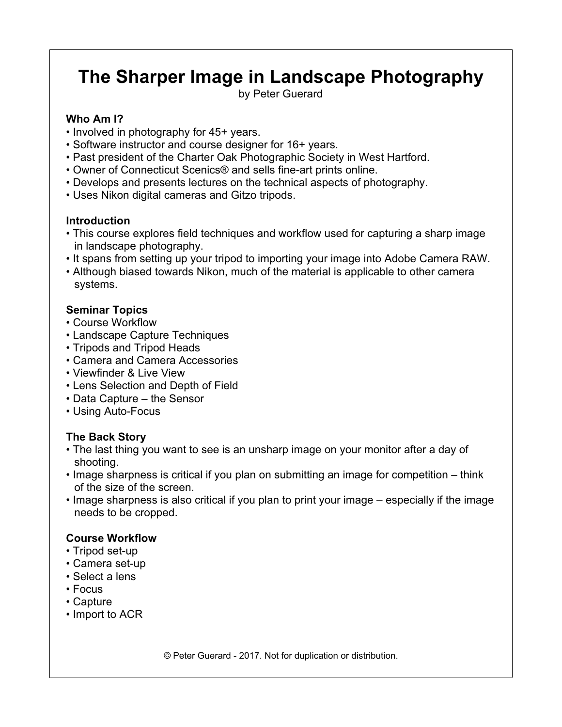# **The Sharper Image in Landscape Photography**

by Peter Guerard

## **Who Am I?**

- Involved in photography for 45+ years.
- Software instructor and course designer for 16+ years.
- Past president of the Charter Oak Photographic Society in West Hartford.
- Owner of Connecticut Scenics® and sells fine-art prints online.
- Develops and presents lectures on the technical aspects of photography.
- Uses Nikon digital cameras and Gitzo tripods.

# **Introduction**

- This course explores field techniques and workflow used for capturing a sharp image in landscape photography.
- It spans from setting up your tripod to importing your image into Adobe Camera RAW.
- Although biased towards Nikon, much of the material is applicable to other camera systems.

# **Seminar Topics**

- Course Workflow
- Landscape Capture Techniques
- Tripods and Tripod Heads
- Camera and Camera Accessories
- Viewfinder & Live View
- Lens Selection and Depth of Field
- Data Capture the Sensor
- Using Auto-Focus

# **The Back Story**

- The last thing you want to see is an unsharp image on your monitor after a day of shooting.
- Image sharpness is critical if you plan on submitting an image for competition think of the size of the screen.
- Image sharpness is also critical if you plan to print your image especially if the image needs to be cropped.

# **Course Workflow**

- Tripod set-up
- Camera set-up
- Select a lens
- Focus
- Capture
- Import to ACR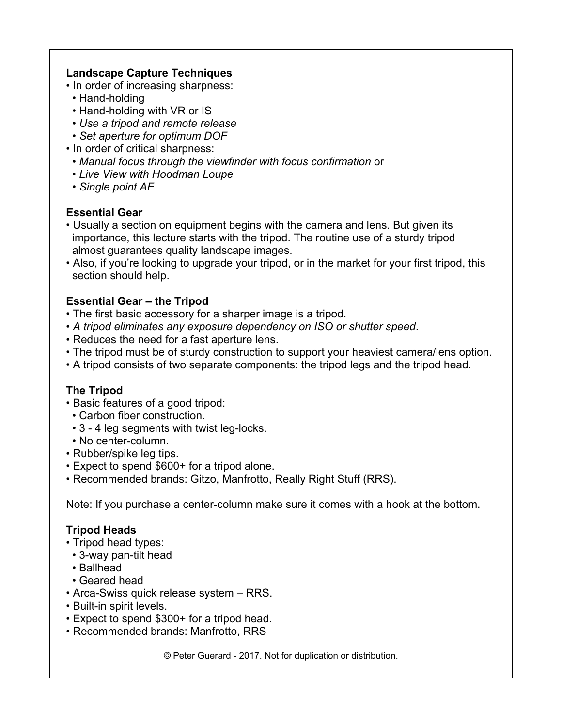#### **Landscape Capture Techniques**

- In order of increasing sharpness:
- Hand-holding
- Hand-holding with VR or IS
- *Use a tripod and remote release*
- *Set aperture for optimum DOF*
- In order of critical sharpness:
- *Manual focus through the viewfinder with focus confirmation* or
- *Live View with Hoodman Loupe*
- *Single point AF*

## **Essential Gear**

- Usually a section on equipment begins with the camera and lens. But given its importance, this lecture starts with the tripod. The routine use of a sturdy tripod almost guarantees quality landscape images.
- Also, if you're looking to upgrade your tripod, or in the market for your first tripod, this section should help.

## **Essential Gear – the Tripod**

- The first basic accessory for a sharper image is a tripod.
- *A tripod eliminates any exposure dependency on ISO or shutter speed*.
- Reduces the need for a fast aperture lens.
- The tripod must be of sturdy construction to support your heaviest camera/lens option.
- A tripod consists of two separate components: the tripod legs and the tripod head.

## **The Tripod**

- Basic features of a good tripod:
- Carbon fiber construction.
- 3 4 leg segments with twist leg-locks.
- No center-column.
- Rubber/spike leg tips.
- Expect to spend \$600+ for a tripod alone.
- Recommended brands: Gitzo, Manfrotto, Really Right Stuff (RRS).

Note: If you purchase a center-column make sure it comes with a hook at the bottom.

## **Tripod Heads**

- Tripod head types:
- 3-way pan-tilt head
- Ballhead
- Geared head
- Arca-Swiss quick release system RRS.
- Built-in spirit levels.
- Expect to spend \$300+ for a tripod head.
- Recommended brands: Manfrotto, RRS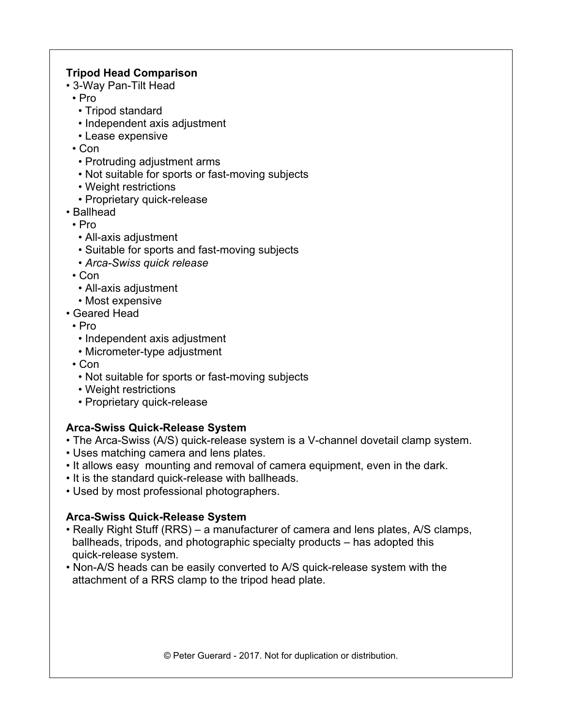## **Tripod Head Comparison**

- 3-Way Pan-Tilt Head
- Pro
	- Tripod standard
	- Independent axis adjustment
	- Lease expensive

• Con

- Protruding adjustment arms
- Not suitable for sports or fast-moving subjects
- Weight restrictions
- Proprietary quick-release
- Ballhead
- Pro
	- All-axis adjustment
	- Suitable for sports and fast-moving subjects
	- *Arca-Swiss quick release*
- Con
	- All-axis adjustment
	- Most expensive
- Geared Head
	- Pro
		- Independent axis adjustment
	- Micrometer-type adjustment
	- Con
		- Not suitable for sports or fast-moving subjects
		- Weight restrictions
	- Proprietary quick-release

## **Arca-Swiss Quick-Release System**

- The Arca-Swiss (A/S) quick-release system is a V-channel dovetail clamp system.
- Uses matching camera and lens plates.
- It allows easy mounting and removal of camera equipment, even in the dark.
- It is the standard quick-release with ballheads.
- Used by most professional photographers.

## **Arca-Swiss Quick-Release System**

- Really Right Stuff (RRS) a manufacturer of camera and lens plates, A/S clamps, ballheads, tripods, and photographic specialty products – has adopted this quick-release system.
- Non-A/S heads can be easily converted to A/S quick-release system with the attachment of a RRS clamp to the tripod head plate.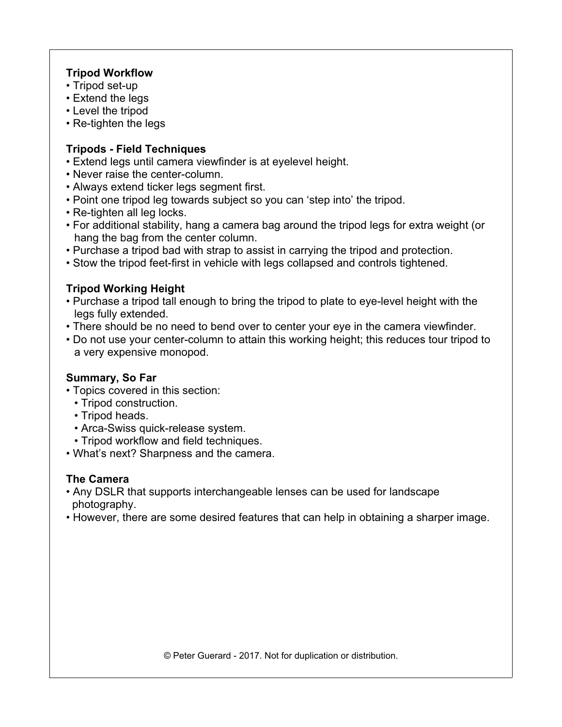## **Tripod Workflow**

- Tripod set-up
- Extend the legs
- Level the tripod
- Re-tighten the legs

# **Tripods - Field Techniques**

- Extend legs until camera viewfinder is at eyelevel height.
- Never raise the center-column.
- Always extend ticker legs segment first.
- Point one tripod leg towards subject so you can 'step into' the tripod.
- Re-tighten all leg locks.
- For additional stability, hang a camera bag around the tripod legs for extra weight (or hang the bag from the center column.
- Purchase a tripod bad with strap to assist in carrying the tripod and protection.
- Stow the tripod feet-first in vehicle with legs collapsed and controls tightened.

# **Tripod Working Height**

- Purchase a tripod tall enough to bring the tripod to plate to eye-level height with the legs fully extended.
- There should be no need to bend over to center your eye in the camera viewfinder.
- Do not use your center-column to attain this working height; this reduces tour tripod to a very expensive monopod.

# **Summary, So Far**

- Topics covered in this section:
	- Tripod construction.
	- Tripod heads.
	- Arca-Swiss quick-release system.
	- Tripod workflow and field techniques.
- What's next? Sharpness and the camera.

# **The Camera**

- Any DSLR that supports interchangeable lenses can be used for landscape photography.
- However, there are some desired features that can help in obtaining a sharper image.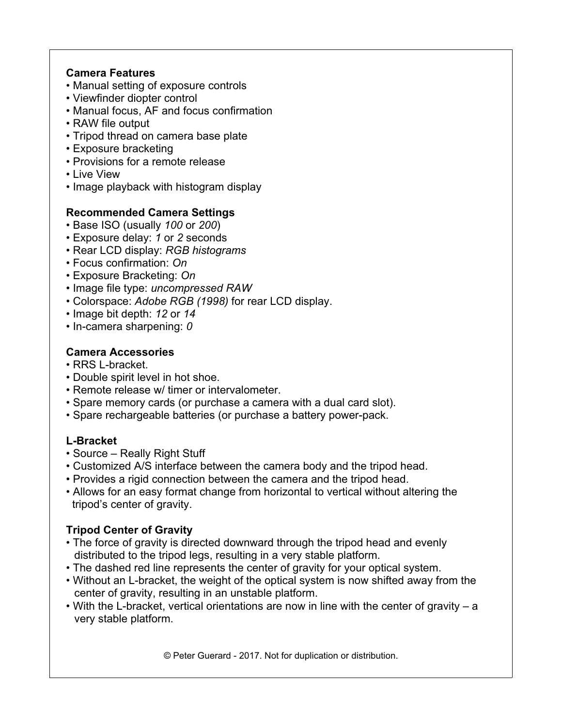# **Camera Features**

- Manual setting of exposure controls
- Viewfinder diopter control
- Manual focus, AF and focus confirmation
- RAW file output
- Tripod thread on camera base plate
- Exposure bracketing
- Provisions for a remote release
- Live View
- Image playback with histogram display

## **Recommended Camera Settings**

- Base ISO (usually *100* or *200*)
- Exposure delay: *1* or *2* seconds
- Rear LCD display: *RGB histograms*
- Focus confirmation: *On*
- Exposure Bracketing: *On*
- Image file type: *uncompressed RAW*
- Colorspace: *Adobe RGB (1998)* for rear LCD display.
- Image bit depth: *12* or *14*
- In-camera sharpening: *0*

## **Camera Accessories**

- RRS L-bracket.
- Double spirit level in hot shoe.
- Remote release w/ timer or intervalometer.
- Spare memory cards (or purchase a camera with a dual card slot).
- Spare rechargeable batteries (or purchase a battery power-pack.

## **L-Bracket**

- Source Really Right Stuff
- Customized A/S interface between the camera body and the tripod head.
- Provides a rigid connection between the camera and the tripod head.
- Allows for an easy format change from horizontal to vertical without altering the tripod's center of gravity.

## **Tripod Center of Gravity**

- The force of gravity is directed downward through the tripod head and evenly distributed to the tripod legs, resulting in a very stable platform.
- The dashed red line represents the center of gravity for your optical system.
- Without an L-bracket, the weight of the optical system is now shifted away from the center of gravity, resulting in an unstable platform.
- With the L-bracket, vertical orientations are now in line with the center of gravity a very stable platform.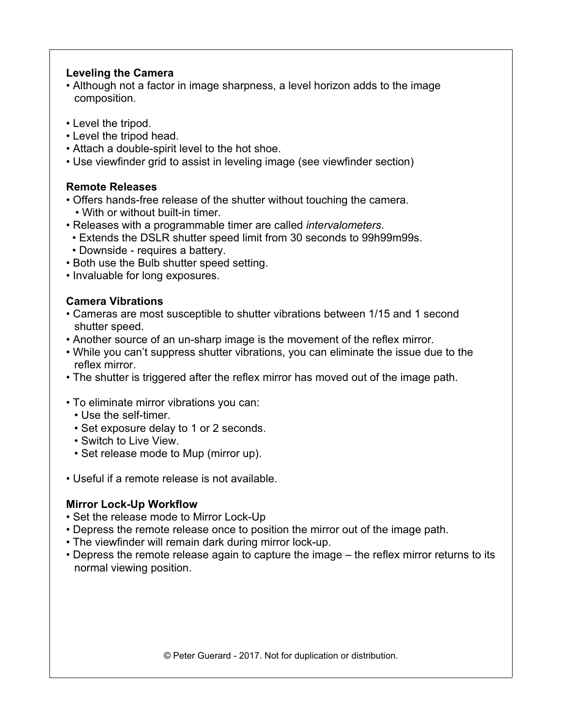#### **Leveling the Camera**

- Although not a factor in image sharpness, a level horizon adds to the image composition.
- Level the tripod.
- Level the tripod head.
- Attach a double-spirit level to the hot shoe.
- Use viewfinder grid to assist in leveling image (see viewfinder section)

## **Remote Releases**

- Offers hands-free release of the shutter without touching the camera. • With or without built-in timer.
- Releases with a programmable timer are called *intervalometers*.
- Extends the DSLR shutter speed limit from 30 seconds to 99h99m99s.
- Downside requires a battery.
- Both use the Bulb shutter speed setting.
- Invaluable for long exposures.

## **Camera Vibrations**

- Cameras are most susceptible to shutter vibrations between 1/15 and 1 second shutter speed.
- Another source of an un-sharp image is the movement of the reflex mirror.
- While you can't suppress shutter vibrations, you can eliminate the issue due to the reflex mirror.
- The shutter is triggered after the reflex mirror has moved out of the image path.
- To eliminate mirror vibrations you can:
	- Use the self-timer.
	- Set exposure delay to 1 or 2 seconds.
	- Switch to Live View.
	- Set release mode to Mup (mirror up).
- Useful if a remote release is not available.

#### **Mirror Lock-Up Workflow**

- Set the release mode to Mirror Lock-Up
- Depress the remote release once to position the mirror out of the image path.
- The viewfinder will remain dark during mirror lock-up.
- Depress the remote release again to capture the image the reflex mirror returns to its normal viewing position.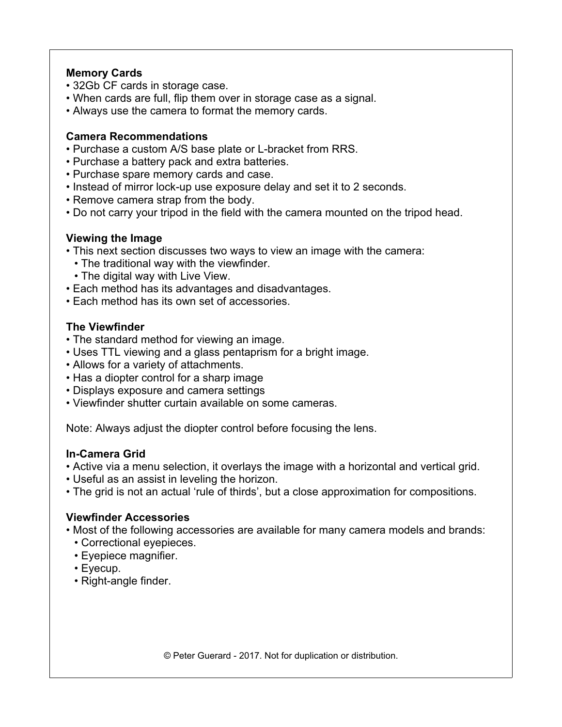#### **Memory Cards**

- 32Gb CF cards in storage case.
- When cards are full, flip them over in storage case as a signal.
- Always use the camera to format the memory cards.

#### **Camera Recommendations**

- Purchase a custom A/S base plate or L-bracket from RRS.
- Purchase a battery pack and extra batteries.
- Purchase spare memory cards and case.
- Instead of mirror lock-up use exposure delay and set it to 2 seconds.
- Remove camera strap from the body.
- Do not carry your tripod in the field with the camera mounted on the tripod head.

## **Viewing the Image**

- This next section discusses two ways to view an image with the camera:
- The traditional way with the viewfinder.
- The digital way with Live View.
- Each method has its advantages and disadvantages.
- Each method has its own set of accessories.

## **The Viewfinder**

- The standard method for viewing an image.
- Uses TTL viewing and a glass pentaprism for a bright image.
- Allows for a variety of attachments.
- Has a diopter control for a sharp image
- Displays exposure and camera settings
- Viewfinder shutter curtain available on some cameras.

Note: Always adjust the diopter control before focusing the lens.

## **In-Camera Grid**

- Active via a menu selection, it overlays the image with a horizontal and vertical grid.
- Useful as an assist in leveling the horizon.
- The grid is not an actual 'rule of thirds', but a close approximation for compositions.

## **Viewfinder Accessories**

- Most of the following accessories are available for many camera models and brands:
	- Correctional eyepieces.
	- Eyepiece magnifier.
	- Eyecup.
	- Right-angle finder.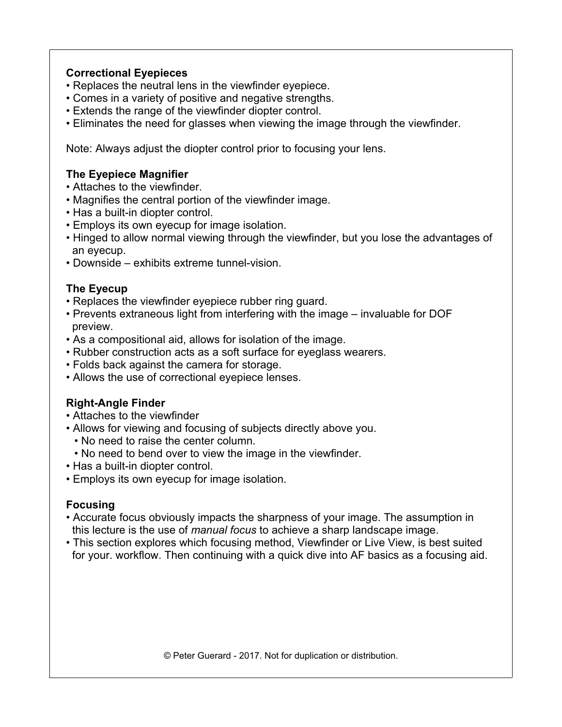## **Correctional Eyepieces**

- Replaces the neutral lens in the viewfinder eyepiece.
- Comes in a variety of positive and negative strengths.
- Extends the range of the viewfinder diopter control.
- Eliminates the need for glasses when viewing the image through the viewfinder.

Note: Always adjust the diopter control prior to focusing your lens.

#### **The Eyepiece Magnifier**

- Attaches to the viewfinder.
- Magnifies the central portion of the viewfinder image.
- Has a built-in diopter control.
- Employs its own eyecup for image isolation.
- Hinged to allow normal viewing through the viewfinder, but you lose the advantages of an eyecup.
- Downside exhibits extreme tunnel-vision.

#### **The Eyecup**

- Replaces the viewfinder eyepiece rubber ring guard.
- Prevents extraneous light from interfering with the image invaluable for DOF preview.
- As a compositional aid, allows for isolation of the image.
- Rubber construction acts as a soft surface for eyeglass wearers.
- Folds back against the camera for storage.
- Allows the use of correctional eyepiece lenses.

## **Right-Angle Finder**

- Attaches to the viewfinder
- Allows for viewing and focusing of subjects directly above you.
	- No need to raise the center column.
- No need to bend over to view the image in the viewfinder.
- Has a built-in diopter control.
- Employs its own eyecup for image isolation.

## **Focusing**

- Accurate focus obviously impacts the sharpness of your image. The assumption in this lecture is the use of *manual focus* to achieve a sharp landscape image.
- This section explores which focusing method, Viewfinder or Live View, is best suited for your. workflow. Then continuing with a quick dive into AF basics as a focusing aid.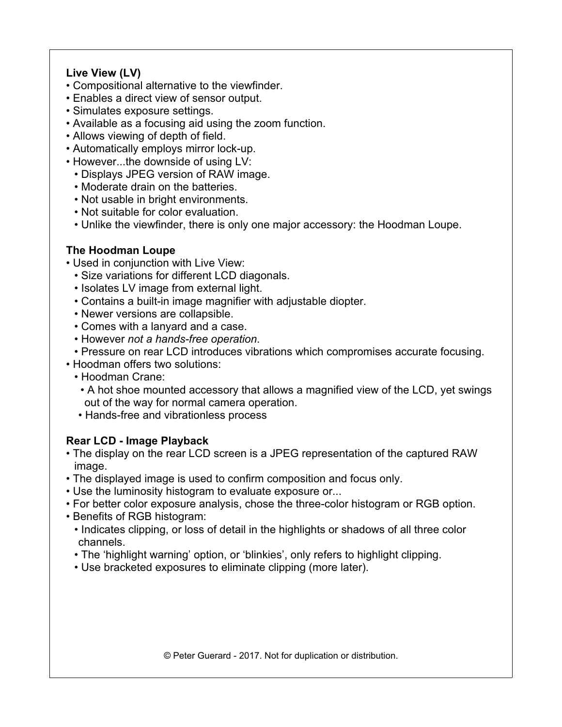## **Live View (LV)**

- Compositional alternative to the viewfinder.
- Enables a direct view of sensor output.
- Simulates exposure settings.
- Available as a focusing aid using the zoom function.
- Allows viewing of depth of field.
- Automatically employs mirror lock-up.
- However...the downside of using LV:
	- Displays JPEG version of RAW image.
	- Moderate drain on the batteries.
	- Not usable in bright environments.
	- Not suitable for color evaluation.
	- Unlike the viewfinder, there is only one major accessory: the Hoodman Loupe.

## **The Hoodman Loupe**

- Used in conjunction with Live View:
	- Size variations for different LCD diagonals.
	- Isolates LV image from external light.
	- Contains a built-in image magnifier with adjustable diopter.
	- Newer versions are collapsible.
	- Comes with a lanyard and a case.
	- However *not a hands-free operation*.
	- Pressure on rear LCD introduces vibrations which compromises accurate focusing.
- Hoodman offers two solutions:
	- Hoodman Crane:
	- A hot shoe mounted accessory that allows a magnified view of the LCD, yet swings out of the way for normal camera operation.
	- Hands-free and vibrationless process

## **Rear LCD - Image Playback**

- The display on the rear LCD screen is a JPEG representation of the captured RAW image.
- The displayed image is used to confirm composition and focus only.
- Use the luminosity histogram to evaluate exposure or...
- For better color exposure analysis, chose the three-color histogram or RGB option.
- Benefits of RGB histogram:
	- Indicates clipping, or loss of detail in the highlights or shadows of all three color channels.
	- The 'highlight warning' option, or 'blinkies', only refers to highlight clipping.
	- Use bracketed exposures to eliminate clipping (more later).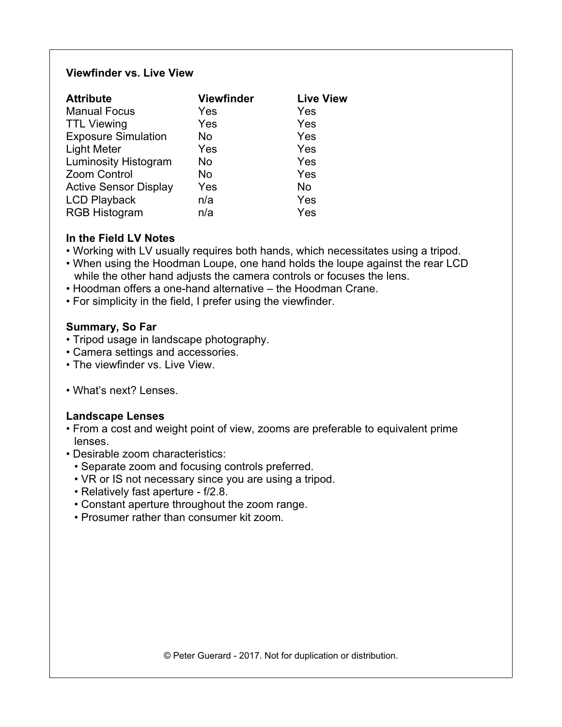#### **Viewfinder vs. Live View**

| <b>Attribute</b>             | <b>Viewfinder</b> | <b>Live View</b> |
|------------------------------|-------------------|------------------|
| <b>Manual Focus</b>          | Yes               | Yes              |
| <b>TTL Viewing</b>           | Yes               | Yes              |
| <b>Exposure Simulation</b>   | No                | Yes              |
| <b>Light Meter</b>           | Yes               | Yes              |
| <b>Luminosity Histogram</b>  | No                | Yes              |
| Zoom Control                 | No                | Yes              |
| <b>Active Sensor Display</b> | Yes               | <b>No</b>        |
| <b>LCD Playback</b>          | n/a               | Yes              |
| <b>RGB Histogram</b>         | n/a               | Yes              |

## **In the Field LV Notes**

- Working with LV usually requires both hands, which necessitates using a tripod.
- When using the Hoodman Loupe, one hand holds the loupe against the rear LCD while the other hand adjusts the camera controls or focuses the lens.
- Hoodman offers a one-hand alternative the Hoodman Crane.
- For simplicity in the field, I prefer using the viewfinder.

#### **Summary, So Far**

- Tripod usage in landscape photography.
- Camera settings and accessories.
- The viewfinder vs. Live View.
- What's next? Lenses.

#### **Landscape Lenses**

- From a cost and weight point of view, zooms are preferable to equivalent prime lenses.
- Desirable zoom characteristics:
	- Separate zoom and focusing controls preferred.
	- VR or IS not necessary since you are using a tripod.
	- Relatively fast aperture f/2.8.
	- Constant aperture throughout the zoom range.
	- Prosumer rather than consumer kit zoom.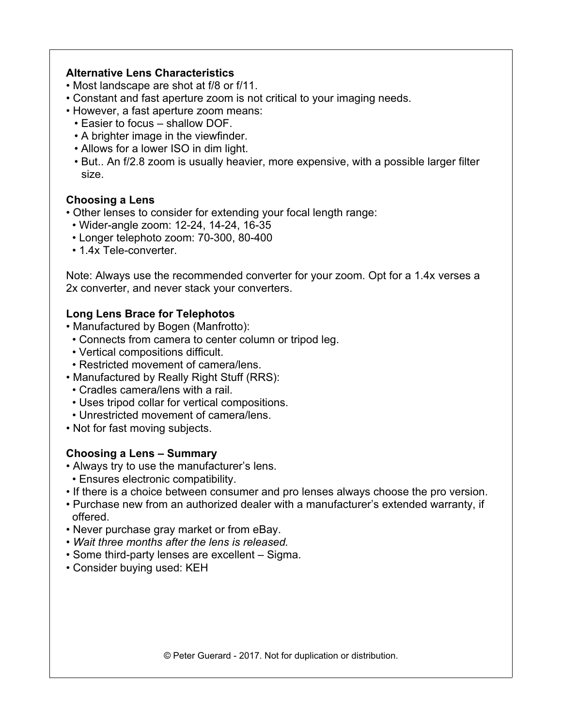#### **Alternative Lens Characteristics**

- Most landscape are shot at f/8 or f/11.
- Constant and fast aperture zoom is not critical to your imaging needs.
- However, a fast aperture zoom means:
	- Easier to focus shallow DOF.
	- A brighter image in the viewfinder.
	- Allows for a lower ISO in dim light.
	- But.. An f/2.8 zoom is usually heavier, more expensive, with a possible larger filter size.

#### **Choosing a Lens**

• Other lenses to consider for extending your focal length range:

- Wider-angle zoom: 12-24, 14-24, 16-35
- Longer telephoto zoom: 70-300, 80-400
- 1.4x Tele-converter.

Note: Always use the recommended converter for your zoom. Opt for a 1.4x verses a 2x converter, and never stack your converters.

## **Long Lens Brace for Telephotos**

- Manufactured by Bogen (Manfrotto):
- Connects from camera to center column or tripod leg.
- Vertical compositions difficult.
- Restricted movement of camera/lens.
- Manufactured by Really Right Stuff (RRS):
- Cradles camera/lens with a rail.
- Uses tripod collar for vertical compositions.
- Unrestricted movement of camera/lens.
- Not for fast moving subjects.

## **Choosing a Lens – Summary**

- Always try to use the manufacturer's lens.
- Ensures electronic compatibility.
- If there is a choice between consumer and pro lenses always choose the pro version.
- Purchase new from an authorized dealer with a manufacturer's extended warranty, if offered.
- Never purchase gray market or from eBay.
- *Wait three months after the lens is released.*
- Some third-party lenses are excellent Sigma.
- Consider buying used: KEH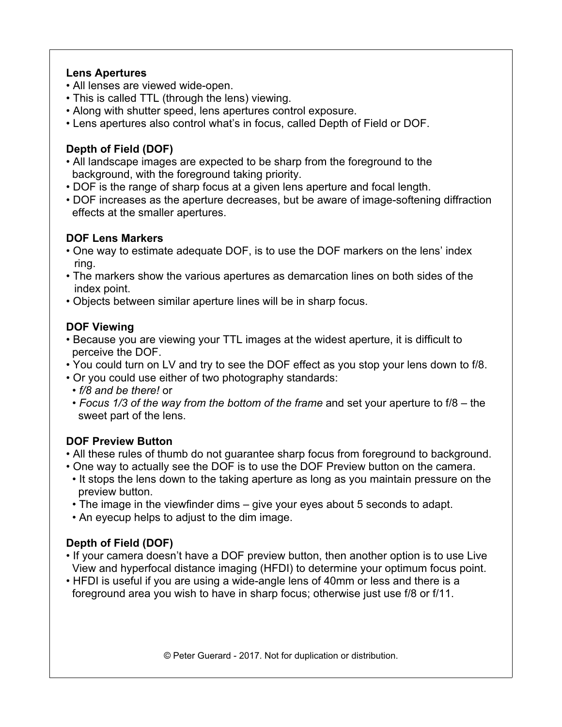#### **Lens Apertures**

- All lenses are viewed wide-open.
- This is called TTL (through the lens) viewing.
- Along with shutter speed, lens apertures control exposure.
- Lens apertures also control what's in focus, called Depth of Field or DOF.

# **Depth of Field (DOF)**

- All landscape images are expected to be sharp from the foreground to the background, with the foreground taking priority.
- DOF is the range of sharp focus at a given lens aperture and focal length.
- DOF increases as the aperture decreases, but be aware of image-softening diffraction effects at the smaller apertures.

# **DOF Lens Markers**

- One way to estimate adequate DOF, is to use the DOF markers on the lens' index ring.
- The markers show the various apertures as demarcation lines on both sides of the index point.
- Objects between similar aperture lines will be in sharp focus.

# **DOF Viewing**

- Because you are viewing your TTL images at the widest aperture, it is difficult to perceive the DOF.
- You could turn on LV and try to see the DOF effect as you stop your lens down to f/8.
- Or you could use either of two photography standards:
- *f/8 and be there!* or
- *Focus 1/3 of the way from the bottom of the frame* and set your aperture to f/8 the sweet part of the lens.

## **DOF Preview Button**

- All these rules of thumb do not guarantee sharp focus from foreground to background.
- One way to actually see the DOF is to use the DOF Preview button on the camera.
- It stops the lens down to the taking aperture as long as you maintain pressure on the preview button.
- The image in the viewfinder dims give your eyes about 5 seconds to adapt.
- An eyecup helps to adjust to the dim image.

# **Depth of Field (DOF)**

- If your camera doesn't have a DOF preview button, then another option is to use Live View and hyperfocal distance imaging (HFDI) to determine your optimum focus point.
- HFDI is useful if you are using a wide-angle lens of 40mm or less and there is a foreground area you wish to have in sharp focus; otherwise just use f/8 or f/11.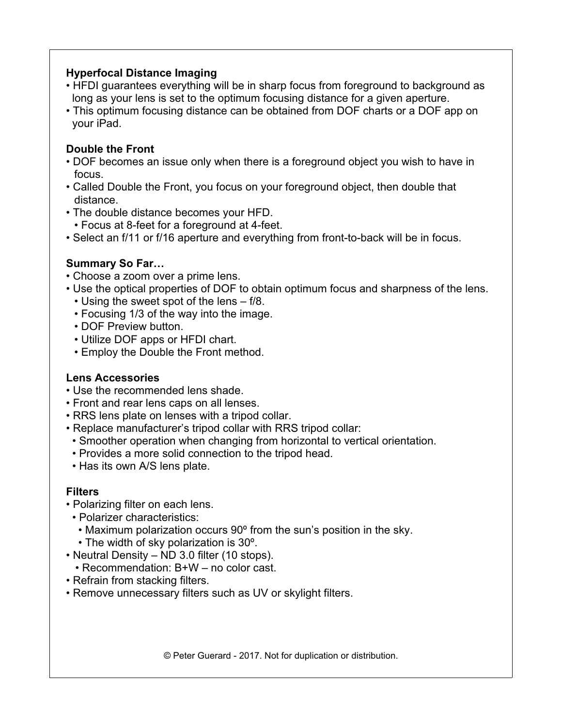#### **Hyperfocal Distance Imaging**

- HFDI guarantees everything will be in sharp focus from foreground to background as long as your lens is set to the optimum focusing distance for a given aperture.
- This optimum focusing distance can be obtained from DOF charts or a DOF app on your iPad.

# **Double the Front**

- DOF becomes an issue only when there is a foreground object you wish to have in focus.
- Called Double the Front, you focus on your foreground object, then double that distance.
- The double distance becomes your HFD.
	- Focus at 8-feet for a foreground at 4-feet.
- Select an f/11 or f/16 aperture and everything from front-to-back will be in focus.

## **Summary So Far…**

- Choose a zoom over a prime lens.
- Use the optical properties of DOF to obtain optimum focus and sharpness of the lens. • Using the sweet spot of the lens – f/8.
	- Focusing 1/3 of the way into the image.
	- DOF Preview button.
	- Utilize DOF apps or HFDI chart.
	- Employ the Double the Front method.

## **Lens Accessories**

- Use the recommended lens shade.
- Front and rear lens caps on all lenses.
- RRS lens plate on lenses with a tripod collar.
- Replace manufacturer's tripod collar with RRS tripod collar:
- Smoother operation when changing from horizontal to vertical orientation.
- Provides a more solid connection to the tripod head.
- Has its own A/S lens plate.

## **Filters**

- Polarizing filter on each lens.
- Polarizer characteristics:
	- Maximum polarization occurs 90º from the sun's position in the sky.
	- The width of sky polarization is 30º.
- Neutral Density ND 3.0 filter (10 stops).
	- Recommendation: B+W no color cast.
- Refrain from stacking filters.
- Remove unnecessary filters such as UV or skylight filters.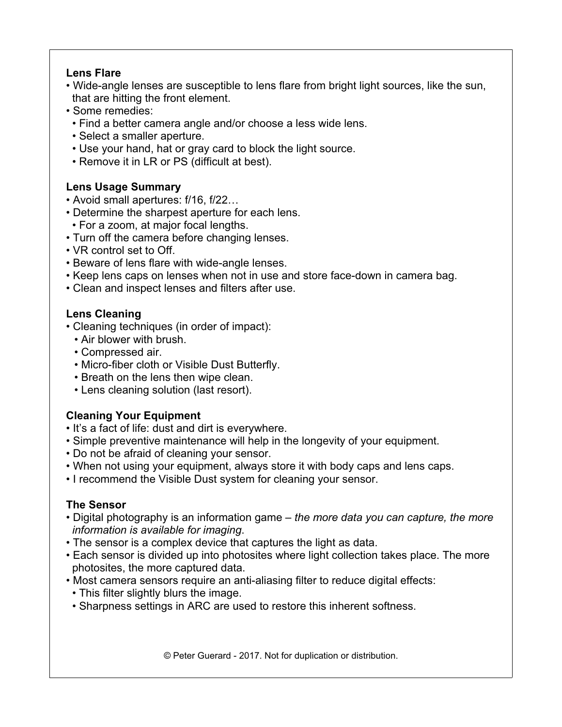#### **Lens Flare**

- Wide-angle lenses are susceptible to lens flare from bright light sources, like the sun, that are hitting the front element.
- Some remedies:
- Find a better camera angle and/or choose a less wide lens.
- Select a smaller aperture.
- Use your hand, hat or gray card to block the light source.
- Remove it in LR or PS (difficult at best).

## **Lens Usage Summary**

- Avoid small apertures: f/16, f/22…
- Determine the sharpest aperture for each lens.
- For a zoom, at major focal lengths.
- Turn off the camera before changing lenses.
- VR control set to Off.
- Beware of lens flare with wide-angle lenses.
- Keep lens caps on lenses when not in use and store face-down in camera bag.
- Clean and inspect lenses and filters after use.

## **Lens Cleaning**

- Cleaning techniques (in order of impact):
	- Air blower with brush.
	- Compressed air.
	- Micro-fiber cloth or Visible Dust Butterfly.
	- Breath on the lens then wipe clean.
	- Lens cleaning solution (last resort).

# **Cleaning Your Equipment**

- It's a fact of life: dust and dirt is everywhere.
- Simple preventive maintenance will help in the longevity of your equipment.
- Do not be afraid of cleaning your sensor.
- When not using your equipment, always store it with body caps and lens caps.
- I recommend the Visible Dust system for cleaning your sensor.

## **The Sensor**

- Digital photography is an information game *the more data you can capture, the more information is available for imaging*.
- The sensor is a complex device that captures the light as data.
- Each sensor is divided up into photosites where light collection takes place. The more photosites, the more captured data.
- Most camera sensors require an anti-aliasing filter to reduce digital effects:
	- This filter slightly blurs the image.
- Sharpness settings in ARC are used to restore this inherent softness.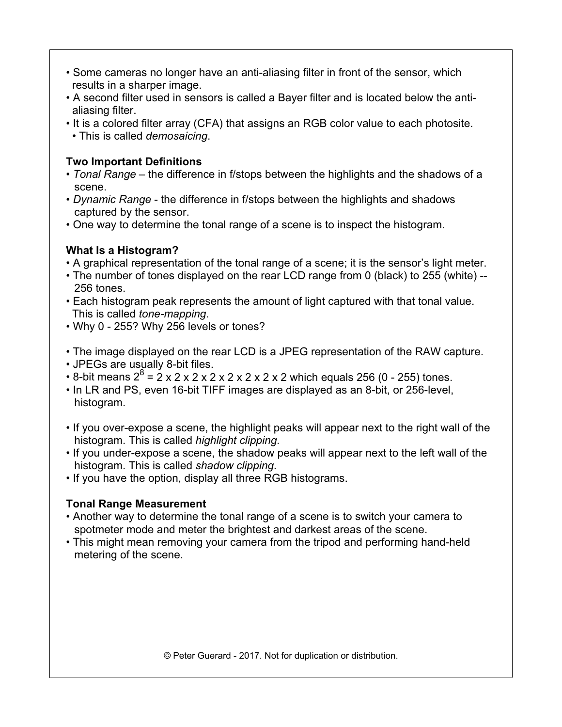- Some cameras no longer have an anti-aliasing filter in front of the sensor, which results in a sharper image.
- A second filter used in sensors is called a Bayer filter and is located below the anti aliasing filter.
- It is a colored filter array (CFA) that assigns an RGB color value to each photosite. • This is called *demosaicing*.

## **Two Important Definitions**

- *Tonal Range* the difference in f/stops between the highlights and the shadows of a scene.
- *Dynamic Range* the difference in f/stops between the highlights and shadows captured by the sensor.
- One way to determine the tonal range of a scene is to inspect the histogram.

# **What Is a Histogram?**

- A graphical representation of the tonal range of a scene; it is the sensor's light meter.
- The number of tones displayed on the rear LCD range from 0 (black) to 255 (white) -- 256 tones.
- Each histogram peak represents the amount of light captured with that tonal value. This is called *tone-mapping*.
- Why 0 255? Why 256 levels or tones?
- The image displayed on the rear LCD is a JPEG representation of the RAW capture.
- JPEGs are usually 8-bit files.
- 8-bit means 2<sup>8</sup> = 2 x 2 x 2 x 2 x 2 x 2 x 2 x 2 which equals 256 (0 255) tones.
- In LR and PS, even 16-bit TIFF images are displayed as an 8-bit, or 256-level, histogram.
- If you over-expose a scene, the highlight peaks will appear next to the right wall of the histogram. This is called *highlight clipping*.
- If you under-expose a scene, the shadow peaks will appear next to the left wall of the histogram. This is called *shadow clipping*.
- If you have the option, display all three RGB histograms.

# **Tonal Range Measurement**

- Another way to determine the tonal range of a scene is to switch your camera to spotmeter mode and meter the brightest and darkest areas of the scene.
- This might mean removing your camera from the tripod and performing hand-held metering of the scene.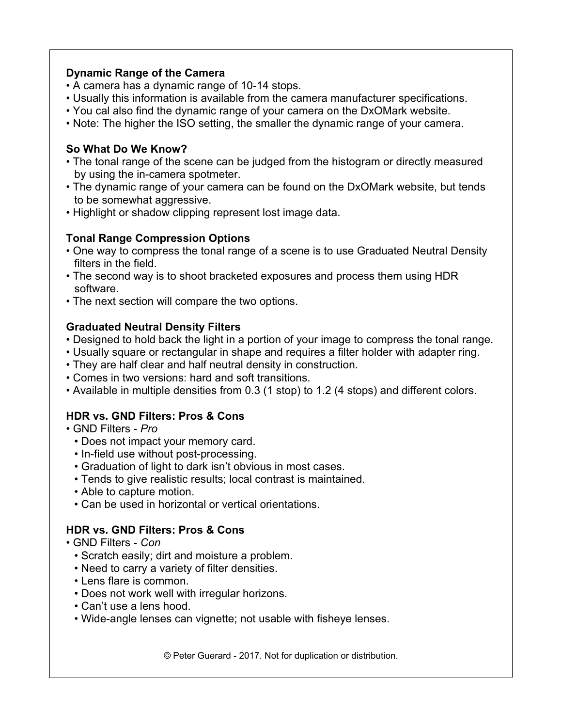#### **Dynamic Range of the Camera**

- A camera has a dynamic range of 10-14 stops.
- Usually this information is available from the camera manufacturer specifications.
- You cal also find the dynamic range of your camera on the DxOMark website.
- Note: The higher the ISO setting, the smaller the dynamic range of your camera.

## **So What Do We Know?**

- The tonal range of the scene can be judged from the histogram or directly measured by using the in-camera spotmeter.
- The dynamic range of your camera can be found on the DxOMark website, but tends to be somewhat aggressive.
- Highlight or shadow clipping represent lost image data.

# **Tonal Range Compression Options**

- One way to compress the tonal range of a scene is to use Graduated Neutral Density filters in the field.
- The second way is to shoot bracketed exposures and process them using HDR software.
- The next section will compare the two options.

## **Graduated Neutral Density Filters**

- Designed to hold back the light in a portion of your image to compress the tonal range.
- Usually square or rectangular in shape and requires a filter holder with adapter ring.
- They are half clear and half neutral density in construction.
- Comes in two versions: hard and soft transitions.
- Available in multiple densities from 0.3 (1 stop) to 1.2 (4 stops) and different colors.

# **HDR vs. GND Filters: Pros & Cons**

- GND Filters *Pro*
	- Does not impact your memory card.
	- In-field use without post-processing.
	- Graduation of light to dark isn't obvious in most cases.
	- Tends to give realistic results; local contrast is maintained.
	- Able to capture motion.
	- Can be used in horizontal or vertical orientations.

## **HDR vs. GND Filters: Pros & Cons**

- GND Filters *Con*
	- Scratch easily; dirt and moisture a problem.
	- Need to carry a variety of filter densities.
	- Lens flare is common.
	- Does not work well with irregular horizons.
	- Can't use a lens hood.
	- Wide-angle lenses can vignette; not usable with fisheye lenses.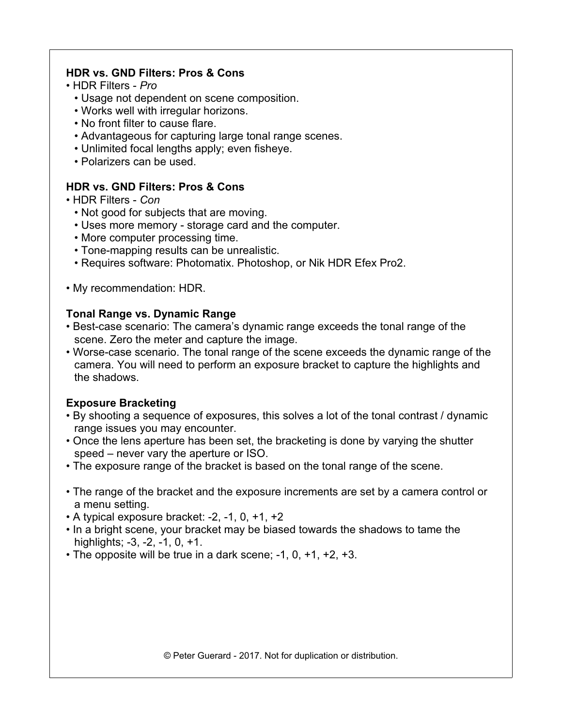#### **HDR vs. GND Filters: Pros & Cons**

- HDR Filters *Pro*
	- Usage not dependent on scene composition.
	- Works well with irregular horizons.
	- No front filter to cause flare.
	- Advantageous for capturing large tonal range scenes.
	- Unlimited focal lengths apply; even fisheye.
	- Polarizers can be used.

## **HDR vs. GND Filters: Pros & Cons**

- HDR Filters *Con*
	- *•* Not good for subjects that are moving.
	- Uses more memory storage card and the computer.
	- More computer processing time.
	- Tone-mapping results can be unrealistic.
	- Requires software: Photomatix. Photoshop, or Nik HDR Efex Pro2.
- My recommendation: HDR.

## **Tonal Range vs. Dynamic Range**

- Best-case scenario: The camera's dynamic range exceeds the tonal range of the scene. Zero the meter and capture the image.
- Worse-case scenario. The tonal range of the scene exceeds the dynamic range of the camera. You will need to perform an exposure bracket to capture the highlights and the shadows.

## **Exposure Bracketing**

- By shooting a sequence of exposures, this solves a lot of the tonal contrast / dynamic range issues you may encounter.
- Once the lens aperture has been set, the bracketing is done by varying the shutter speed – never vary the aperture or ISO.
- The exposure range of the bracket is based on the tonal range of the scene.
- The range of the bracket and the exposure increments are set by a camera control or a menu setting.
- $\bullet$  A typical exposure bracket:  $-2$ ,  $-1$ ,  $0$ ,  $+1$ ,  $+2$
- In a bright scene, your bracket may be biased towards the shadows to tame the highlights; -3, -2, -1, 0, +1.
- The opposite will be true in a dark scene; -1, 0, +1, +2, +3.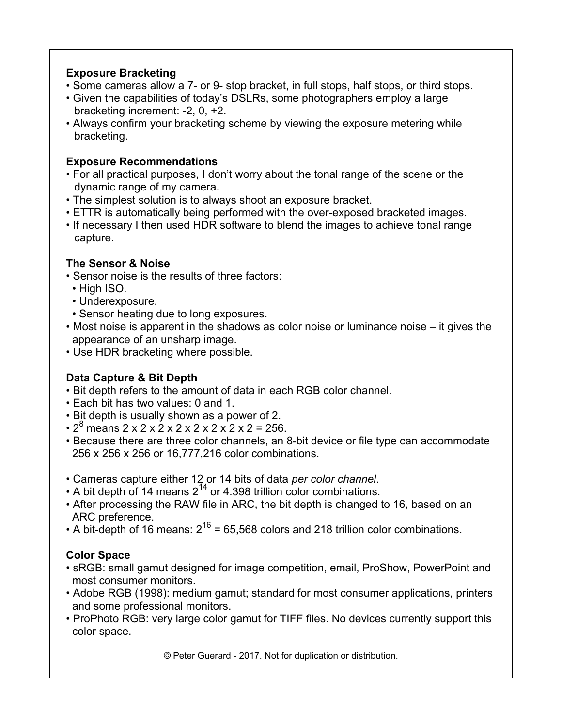## **Exposure Bracketing**

- Some cameras allow a 7- or 9- stop bracket, in full stops, half stops, or third stops.
- Given the capabilities of today's DSLRs, some photographers employ a large bracketing increment: -2, 0, +2.
- Always confirm your bracketing scheme by viewing the exposure metering while bracketing.

#### **Exposure Recommendations**

- For all practical purposes, I don't worry about the tonal range of the scene or the dynamic range of my camera.
- The simplest solution is to always shoot an exposure bracket.
- ETTR is automatically being performed with the over-exposed bracketed images.
- If necessary I then used HDR software to blend the images to achieve tonal range capture.

## **The Sensor & Noise**

- Sensor noise is the results of three factors:
- High ISO.
- Underexposure.
- Sensor heating due to long exposures.
- Most noise is apparent in the shadows as color noise or luminance noise it gives the appearance of an unsharp image.
- Use HDR bracketing where possible.

# **Data Capture & Bit Depth**

- Bit depth refers to the amount of data in each RGB color channel.
- Each bit has two values: 0 and 1.
- Bit depth is usually shown as a power of 2.
- $\cdot$  2<sup>8</sup> means 2 x 2 x 2 x 2 x 2 x 2 x 2 x 2 = 256.
- Because there are three color channels, an 8-bit device or file type can accommodate 256 x 256 x 256 or 16,777,216 color combinations.
- Cameras capture either 12 or 14 bits of data *per color channel*.
- A bit depth of 14 means  $2^{14}$  or 4.398 trillion color combinations.
- After processing the RAW file in ARC, the bit depth is changed to 16, based on an ARC preference.
- A bit-depth of 16 means:  $2^{16}$  = 65,568 colors and 218 trillion color combinations.

## **Color Space**

- sRGB: small gamut designed for image competition, email, ProShow, PowerPoint and most consumer monitors.
- Adobe RGB (1998): medium gamut; standard for most consumer applications, printers and some professional monitors.
- ProPhoto RGB: very large color gamut for TIFF files. No devices currently support this color space.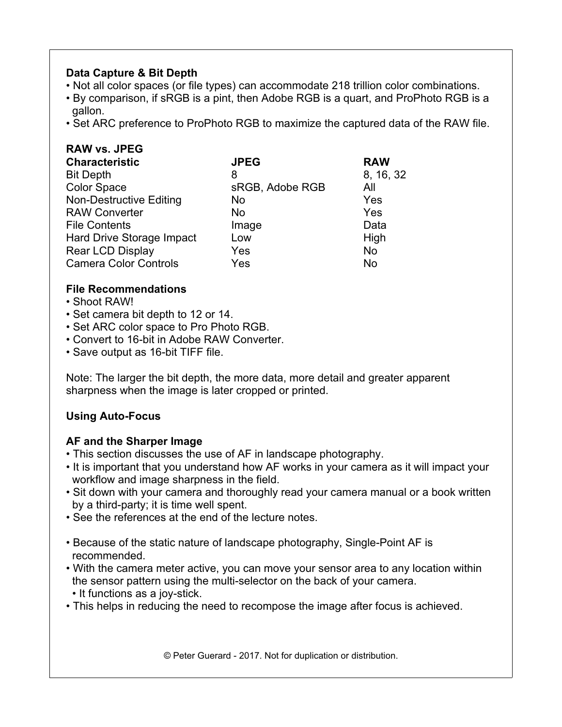## **Data Capture & Bit Depth**

- Not all color spaces (or file types) can accommodate 218 trillion color combinations.
- By comparison, if sRGB is a pint, then Adobe RGB is a quart, and ProPhoto RGB is a gallon.
- Set ARC preference to ProPhoto RGB to maximize the captured data of the RAW file.

| <b>RAW vs. JPEG</b>            |                 |            |
|--------------------------------|-----------------|------------|
| <b>Characteristic</b>          | <b>JPEG</b>     | <b>RAW</b> |
| <b>Bit Depth</b>               | 8               | 8, 16, 32  |
| <b>Color Space</b>             | sRGB, Adobe RGB | All        |
| <b>Non-Destructive Editing</b> | No.             | Yes        |
| <b>RAW Converter</b>           | <b>No</b>       | Yes        |
| <b>File Contents</b>           | Image           | Data       |
| Hard Drive Storage Impact      | Low             | High       |
| <b>Rear LCD Display</b>        | Yes             | <b>No</b>  |
| <b>Camera Color Controls</b>   | Yes             | No         |

#### **File Recommendations**

- Shoot RAW!
- Set camera bit depth to 12 or 14.
- Set ARC color space to Pro Photo RGB.
- Convert to 16-bit in Adobe RAW Converter.
- Save output as 16-bit TIFF file.

Note: The larger the bit depth, the more data, more detail and greater apparent sharpness when the image is later cropped or printed.

## **Using Auto-Focus**

## **AF and the Sharper Image**

- This section discusses the use of AF in landscape photography.
- It is important that you understand how AF works in your camera as it will impact your workflow and image sharpness in the field.
- Sit down with your camera and thoroughly read your camera manual or a book written by a third-party; it is time well spent.
- See the references at the end of the lecture notes.
- Because of the static nature of landscape photography, Single-Point AF is recommended.
- With the camera meter active, you can move your sensor area to any location within the sensor pattern using the multi-selector on the back of your camera.
- It functions as a joy-stick.
- This helps in reducing the need to recompose the image after focus is achieved.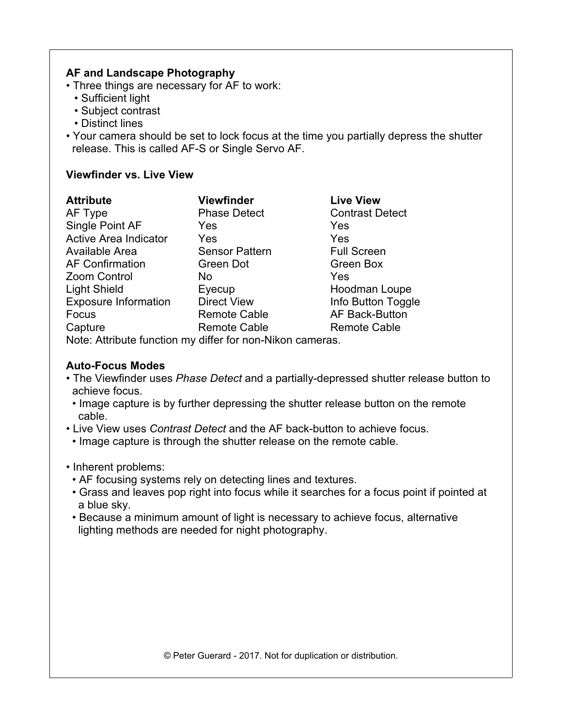#### **AF and Landscape Photography**

- Three things are necessary for AF to work:
	- Sufficient light
	- Subject contrast
	- Distinct lines
- Your camera should be set to lock focus at the time you partially depress the shutter release. This is called AF-S or Single Servo AF.

#### **Viewfinder vs. Live View**

| <b>Attribute</b>             | <b>Viewfinder</b>     | <b>Live View</b>       |
|------------------------------|-----------------------|------------------------|
| AF Type                      | <b>Phase Detect</b>   | <b>Contrast Detect</b> |
| Single Point AF              | Yes                   | Yes                    |
| <b>Active Area Indicator</b> | Yes                   | Yes                    |
| Available Area               | <b>Sensor Pattern</b> | <b>Full Screen</b>     |
| <b>AF Confirmation</b>       | Green Dot             | Green Box              |
| Zoom Control                 | No.                   | Yes                    |
| <b>Light Shield</b>          | Eyecup                | Hoodman Loupe          |
| <b>Exposure Information</b>  | <b>Direct View</b>    | Info Button Toggle     |
| Focus                        | <b>Remote Cable</b>   | <b>AF Back-Button</b>  |
| Capture                      | <b>Remote Cable</b>   | <b>Remote Cable</b>    |

Note: Attribute function my differ for non-Nikon cameras.

#### **Auto-Focus Modes**

- The Viewfinder uses *Phase Detect* and a partially-depressed shutter release button to achieve focus.
- Image capture is by further depressing the shutter release button on the remote cable.
- Live View uses *Contrast Detect* and the AF back-button to achieve focus.
- Image capture is through the shutter release on the remote cable.
- Inherent problems:
	- AF focusing systems rely on detecting lines and textures.
- Grass and leaves pop right into focus while it searches for a focus point if pointed at a blue sky.
- Because a minimum amount of light is necessary to achieve focus, alternative lighting methods are needed for night photography.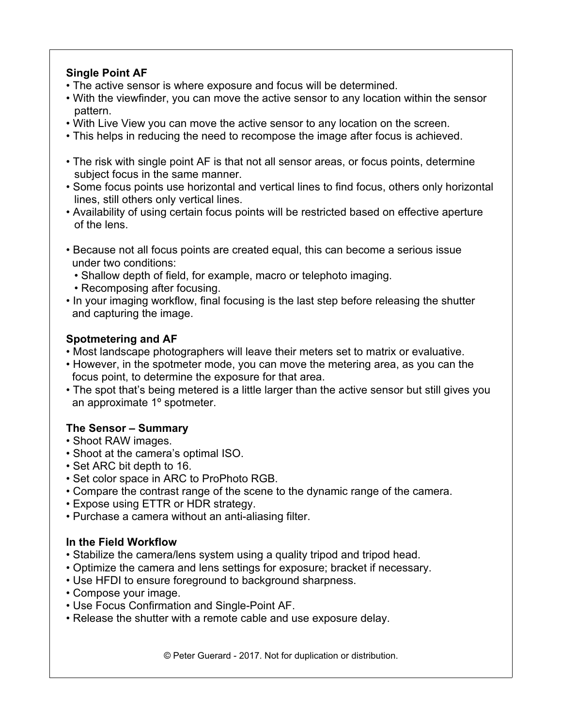## **Single Point AF**

- The active sensor is where exposure and focus will be determined.
- With the viewfinder, you can move the active sensor to any location within the sensor pattern.
- With Live View you can move the active sensor to any location on the screen.
- This helps in reducing the need to recompose the image after focus is achieved.
- The risk with single point AF is that not all sensor areas, or focus points, determine subject focus in the same manner.
- Some focus points use horizontal and vertical lines to find focus, others only horizontal lines, still others only vertical lines.
- Availability of using certain focus points will be restricted based on effective aperture of the lens.
- Because not all focus points are created equal, this can become a serious issue under two conditions:
	- Shallow depth of field, for example, macro or telephoto imaging.
	- Recomposing after focusing.
- In your imaging workflow, final focusing is the last step before releasing the shutter and capturing the image.

# **Spotmetering and AF**

- Most landscape photographers will leave their meters set to matrix or evaluative.
- However, in the spotmeter mode, you can move the metering area, as you can the focus point, to determine the exposure for that area.
- The spot that's being metered is a little larger than the active sensor but still gives you an approximate 1º spotmeter.

# **The Sensor – Summary**

- Shoot RAW images.
- Shoot at the camera's optimal ISO.
- Set ARC bit depth to 16.
- Set color space in ARC to ProPhoto RGB.
- Compare the contrast range of the scene to the dynamic range of the camera.
- Expose using ETTR or HDR strategy.
- Purchase a camera without an anti-aliasing filter.

## **In the Field Workflow**

- Stabilize the camera/lens system using a quality tripod and tripod head.
- Optimize the camera and lens settings for exposure; bracket if necessary.
- Use HFDI to ensure foreground to background sharpness.
- Compose your image.
- Use Focus Confirmation and Single-Point AF.
- Release the shutter with a remote cable and use exposure delay.